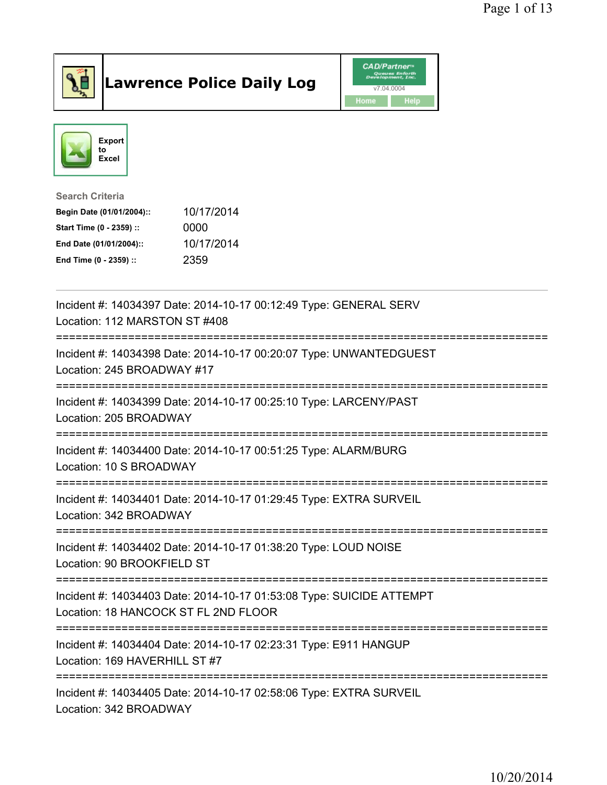

## Lawrence Police Daily Log Value of the CAD/Partner





## Search Criteria

| Begin Date (01/01/2004):: | 10/17/2014 |
|---------------------------|------------|
| Start Time (0 - 2359) ::  | 0000       |
| End Date (01/01/2004)::   | 10/17/2014 |
| End Time (0 - 2359) ::    | 2359       |

| Incident #: 14034397 Date: 2014-10-17 00:12:49 Type: GENERAL SERV<br>Location: 112 MARSTON ST #408                                   |
|--------------------------------------------------------------------------------------------------------------------------------------|
| Incident #: 14034398 Date: 2014-10-17 00:20:07 Type: UNWANTEDGUEST<br>Location: 245 BROADWAY #17                                     |
| Incident #: 14034399 Date: 2014-10-17 00:25:10 Type: LARCENY/PAST<br>Location: 205 BROADWAY                                          |
| Incident #: 14034400 Date: 2014-10-17 00:51:25 Type: ALARM/BURG<br>Location: 10 S BROADWAY                                           |
| Incident #: 14034401 Date: 2014-10-17 01:29:45 Type: EXTRA SURVEIL<br>Location: 342 BROADWAY<br>==================================== |
| Incident #: 14034402 Date: 2014-10-17 01:38:20 Type: LOUD NOISE<br>Location: 90 BROOKFIELD ST                                        |
| Incident #: 14034403 Date: 2014-10-17 01:53:08 Type: SUICIDE ATTEMPT<br>Location: 18 HANCOCK ST FL 2ND FLOOR                         |
| Incident #: 14034404 Date: 2014-10-17 02:23:31 Type: E911 HANGUP<br>Location: 169 HAVERHILL ST #7                                    |
| Incident #: 14034405 Date: 2014-10-17 02:58:06 Type: EXTRA SURVEIL<br>Location: 342 BROADWAY                                         |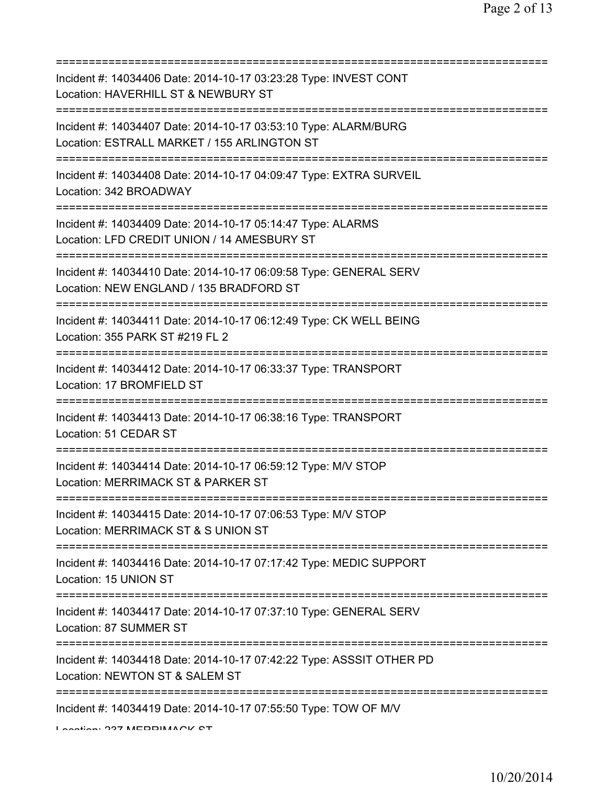| Incident #: 14034406 Date: 2014-10-17 03:23:28 Type: INVEST CONT<br>Location: HAVERHILL ST & NEWBURY ST                                      |
|----------------------------------------------------------------------------------------------------------------------------------------------|
| Incident #: 14034407 Date: 2014-10-17 03:53:10 Type: ALARM/BURG<br>Location: ESTRALL MARKET / 155 ARLINGTON ST                               |
| Incident #: 14034408 Date: 2014-10-17 04:09:47 Type: EXTRA SURVEIL<br>Location: 342 BROADWAY                                                 |
| Incident #: 14034409 Date: 2014-10-17 05:14:47 Type: ALARMS<br>Location: LFD CREDIT UNION / 14 AMESBURY ST                                   |
| Incident #: 14034410 Date: 2014-10-17 06:09:58 Type: GENERAL SERV<br>Location: NEW ENGLAND / 135 BRADFORD ST                                 |
| Incident #: 14034411 Date: 2014-10-17 06:12:49 Type: CK WELL BEING<br>Location: 355 PARK ST #219 FL 2                                        |
| Incident #: 14034412 Date: 2014-10-17 06:33:37 Type: TRANSPORT<br>Location: 17 BROMFIELD ST                                                  |
| Incident #: 14034413 Date: 2014-10-17 06:38:16 Type: TRANSPORT<br>Location: 51 CEDAR ST                                                      |
| Incident #: 14034414 Date: 2014-10-17 06:59:12 Type: M/V STOP<br>Location: MERRIMACK ST & PARKER ST                                          |
| Incident #: 14034415 Date: 2014-10-17 07:06:53 Type: M/V STOP<br>Location: MERRIMACK ST & S UNION ST                                         |
| Incident #: 14034416 Date: 2014-10-17 07:17:42 Type: MEDIC SUPPORT<br>Location: 15 UNION ST                                                  |
| Incident #: 14034417 Date: 2014-10-17 07:37:10 Type: GENERAL SERV<br>Location: 87 SUMMER ST                                                  |
| ==================================<br>Incident #: 14034418 Date: 2014-10-17 07:42:22 Type: ASSSIT OTHER PD<br>Location: NEWTON ST & SALEM ST |
| Incident #: 14034419 Date: 2014-10-17 07:55:50 Type: TOW OF M/V<br>Lootion. 007 MEDDIMAAOIZ CT                                               |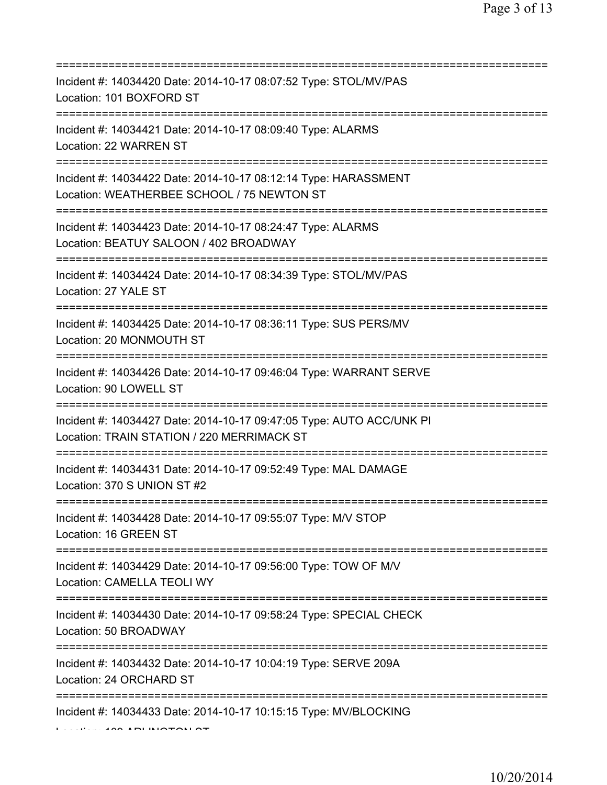| Incident #: 14034420 Date: 2014-10-17 08:07:52 Type: STOL/MV/PAS<br>Location: 101 BOXFORD ST                                          |
|---------------------------------------------------------------------------------------------------------------------------------------|
| ====================<br>Incident #: 14034421 Date: 2014-10-17 08:09:40 Type: ALARMS<br>Location: 22 WARREN ST                         |
| Incident #: 14034422 Date: 2014-10-17 08:12:14 Type: HARASSMENT<br>Location: WEATHERBEE SCHOOL / 75 NEWTON ST                         |
| Incident #: 14034423 Date: 2014-10-17 08:24:47 Type: ALARMS<br>Location: BEATUY SALOON / 402 BROADWAY                                 |
| Incident #: 14034424 Date: 2014-10-17 08:34:39 Type: STOL/MV/PAS<br>Location: 27 YALE ST                                              |
| Incident #: 14034425 Date: 2014-10-17 08:36:11 Type: SUS PERS/MV<br>Location: 20 MONMOUTH ST<br>;===================================  |
| Incident #: 14034426 Date: 2014-10-17 09:46:04 Type: WARRANT SERVE<br>Location: 90 LOWELL ST                                          |
| Incident #: 14034427 Date: 2014-10-17 09:47:05 Type: AUTO ACC/UNK PI<br>Location: TRAIN STATION / 220 MERRIMACK ST                    |
| Incident #: 14034431 Date: 2014-10-17 09:52:49 Type: MAL DAMAGE<br>Location: 370 S UNION ST #2                                        |
| Incident #: 14034428 Date: 2014-10-17 09:55:07 Type: M/V STOP<br>Location: 16 GREEN ST                                                |
| Incident #: 14034429 Date: 2014-10-17 09:56:00 Type: TOW OF M/V<br>Location: CAMELLA TEOLI WY                                         |
| ;=====================================<br>Incident #: 14034430 Date: 2014-10-17 09:58:24 Type: SPECIAL CHECK<br>Location: 50 BROADWAY |
| Incident #: 14034432 Date: 2014-10-17 10:04:19 Type: SERVE 209A<br>Location: 24 ORCHARD ST                                            |
| Incident #: 14034433 Date: 2014-10-17 10:15:15 Type: MV/BLOCKING<br>ADI BIAATO1                                                       |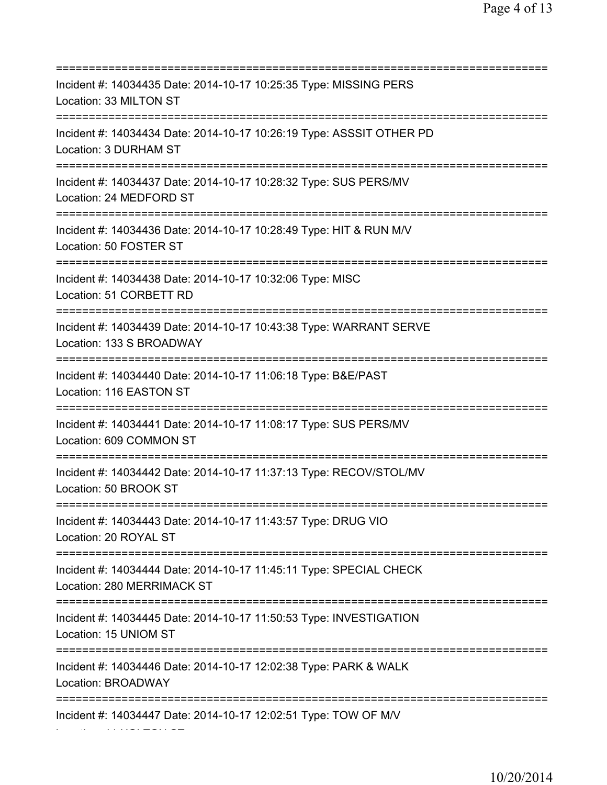=========================================================================== Incident #: 14034435 Date: 2014-10-17 10:25:35 Type: MISSING PERS Location: 33 MILTON ST =========================================================================== Incident #: 14034434 Date: 2014-10-17 10:26:19 Type: ASSSIT OTHER PD Location: 3 DURHAM ST =========================================================================== Incident #: 14034437 Date: 2014-10-17 10:28:32 Type: SUS PERS/MV Location: 24 MEDFORD ST =========================================================================== Incident #: 14034436 Date: 2014-10-17 10:28:49 Type: HIT & RUN M/V Location: 50 FOSTER ST =========================================================================== Incident #: 14034438 Date: 2014-10-17 10:32:06 Type: MISC Location: 51 CORBETT RD =========================================================================== Incident #: 14034439 Date: 2014-10-17 10:43:38 Type: WARRANT SERVE Location: 133 S BROADWAY =========================================================================== Incident #: 14034440 Date: 2014-10-17 11:06:18 Type: B&E/PAST Location: 116 EASTON ST =========================================================================== Incident #: 14034441 Date: 2014-10-17 11:08:17 Type: SUS PERS/MV Location: 609 COMMON ST =========================================================================== Incident #: 14034442 Date: 2014-10-17 11:37:13 Type: RECOV/STOL/MV Location: 50 BROOK ST =========================================================================== Incident #: 14034443 Date: 2014-10-17 11:43:57 Type: DRUG VIO Location: 20 ROYAL ST =========================================================================== Incident #: 14034444 Date: 2014-10-17 11:45:11 Type: SPECIAL CHECK Location: 280 MERRIMACK ST =========================================================================== Incident #: 14034445 Date: 2014-10-17 11:50:53 Type: INVESTIGATION Location: 15 UNIOM ST =========================================================================== Incident #: 14034446 Date: 2014-10-17 12:02:38 Type: PARK & WALK Location: BROADWAY =========================================================================== Incident #: 14034447 Date: 2014-10-17 12:02:51 Type: TOW OF M/V

Location: 11 HOLTON ST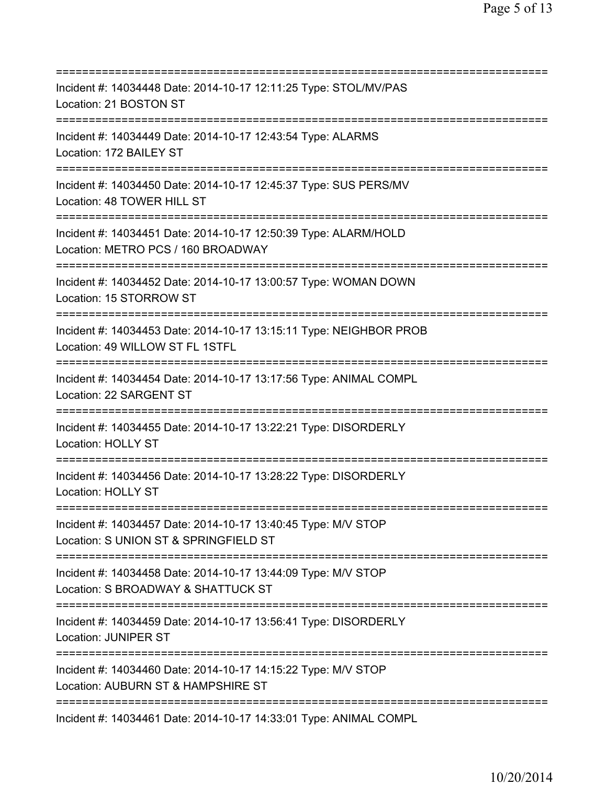| Incident #: 14034448 Date: 2014-10-17 12:11:25 Type: STOL/MV/PAS<br>Location: 21 BOSTON ST                                                     |
|------------------------------------------------------------------------------------------------------------------------------------------------|
| Incident #: 14034449 Date: 2014-10-17 12:43:54 Type: ALARMS<br>Location: 172 BAILEY ST                                                         |
| Incident #: 14034450 Date: 2014-10-17 12:45:37 Type: SUS PERS/MV<br>Location: 48 TOWER HILL ST                                                 |
| Incident #: 14034451 Date: 2014-10-17 12:50:39 Type: ALARM/HOLD<br>Location: METRO PCS / 160 BROADWAY                                          |
| Incident #: 14034452 Date: 2014-10-17 13:00:57 Type: WOMAN DOWN<br>Location: 15 STORROW ST<br>===================================              |
| Incident #: 14034453 Date: 2014-10-17 13:15:11 Type: NEIGHBOR PROB<br>Location: 49 WILLOW ST FL 1STFL                                          |
| Incident #: 14034454 Date: 2014-10-17 13:17:56 Type: ANIMAL COMPL<br>Location: 22 SARGENT ST                                                   |
| Incident #: 14034455 Date: 2014-10-17 13:22:21 Type: DISORDERLY<br>Location: HOLLY ST                                                          |
| Incident #: 14034456 Date: 2014-10-17 13:28:22 Type: DISORDERLY<br><b>Location: HOLLY ST</b>                                                   |
| Incident #: 14034457 Date: 2014-10-17 13:40:45 Type: M/V STOP<br>Location: S UNION ST & SPRINGFIELD ST<br>==================================== |
| Incident #: 14034458 Date: 2014-10-17 13:44:09 Type: M/V STOP<br>Location: S BROADWAY & SHATTUCK ST                                            |
| Incident #: 14034459 Date: 2014-10-17 13:56:41 Type: DISORDERLY<br><b>Location: JUNIPER ST</b>                                                 |
| Incident #: 14034460 Date: 2014-10-17 14:15:22 Type: M/V STOP<br>Location: AUBURN ST & HAMPSHIRE ST                                            |
| Incident #: 14034461 Date: 2014-10-17 14:33:01 Type: ANIMAL COMPL                                                                              |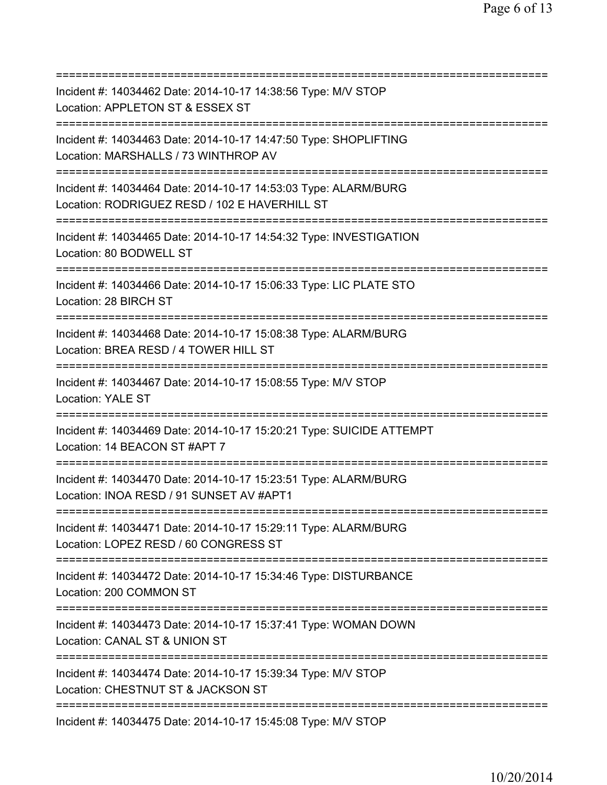| Incident #: 14034462 Date: 2014-10-17 14:38:56 Type: M/V STOP<br>Location: APPLETON ST & ESSEX ST                                             |
|-----------------------------------------------------------------------------------------------------------------------------------------------|
| Incident #: 14034463 Date: 2014-10-17 14:47:50 Type: SHOPLIFTING<br>Location: MARSHALLS / 73 WINTHROP AV                                      |
| Incident #: 14034464 Date: 2014-10-17 14:53:03 Type: ALARM/BURG<br>Location: RODRIGUEZ RESD / 102 E HAVERHILL ST                              |
| Incident #: 14034465 Date: 2014-10-17 14:54:32 Type: INVESTIGATION<br>Location: 80 BODWELL ST                                                 |
| Incident #: 14034466 Date: 2014-10-17 15:06:33 Type: LIC PLATE STO<br>Location: 28 BIRCH ST<br>====================================           |
| Incident #: 14034468 Date: 2014-10-17 15:08:38 Type: ALARM/BURG<br>Location: BREA RESD / 4 TOWER HILL ST<br>========================          |
| Incident #: 14034467 Date: 2014-10-17 15:08:55 Type: M/V STOP<br>Location: YALE ST<br>===============                                         |
| Incident #: 14034469 Date: 2014-10-17 15:20:21 Type: SUICIDE ATTEMPT<br>Location: 14 BEACON ST #APT 7<br>------------                         |
| Incident #: 14034470 Date: 2014-10-17 15:23:51 Type: ALARM/BURG<br>Location: INOA RESD / 91 SUNSET AV #APT1                                   |
| Incident #: 14034471 Date: 2014-10-17 15:29:11 Type: ALARM/BURG<br>Location: LOPEZ RESD / 60 CONGRESS ST                                      |
| Incident #: 14034472 Date: 2014-10-17 15:34:46 Type: DISTURBANCE<br>Location: 200 COMMON ST                                                   |
| Incident #: 14034473 Date: 2014-10-17 15:37:41 Type: WOMAN DOWN<br>Location: CANAL ST & UNION ST                                              |
| ======================================<br>Incident #: 14034474 Date: 2014-10-17 15:39:34 Type: M/V STOP<br>Location: CHESTNUT ST & JACKSON ST |
| ====================<br>Incident #: 14034475 Date: 2014-10-17 15:45:08 Type: M/V STOP                                                         |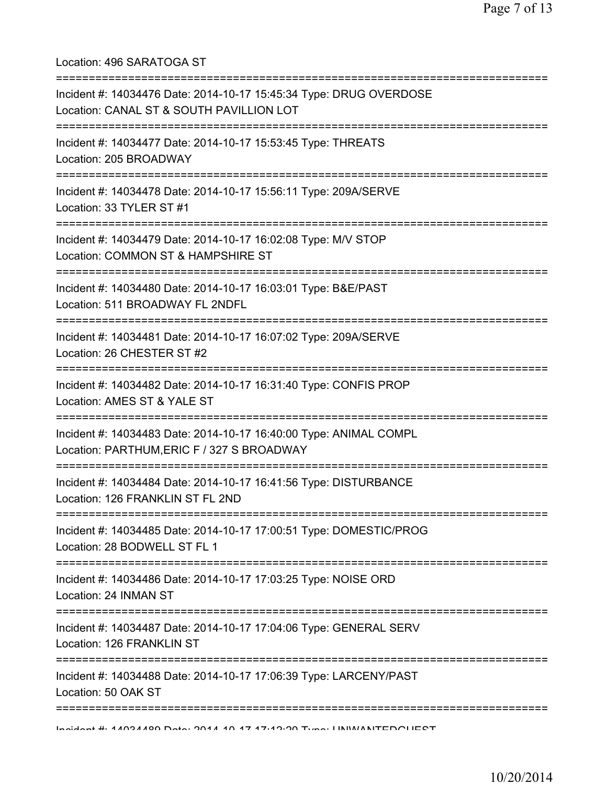Location: 496 SARATOGA ST =========================================================================== Incident #: 14034476 Date: 2014-10-17 15:45:34 Type: DRUG OVERDOSE Location: CANAL ST & SOUTH PAVILLION LOT =========================================================================== Incident #: 14034477 Date: 2014-10-17 15:53:45 Type: THREATS Location: 205 BROADWAY =========================================================================== Incident #: 14034478 Date: 2014-10-17 15:56:11 Type: 209A/SERVE Location: 33 TYLER ST #1 =========================================================================== Incident #: 14034479 Date: 2014-10-17 16:02:08 Type: M/V STOP Location: COMMON ST & HAMPSHIRE ST =========================================================================== Incident #: 14034480 Date: 2014-10-17 16:03:01 Type: B&E/PAST Location: 511 BROADWAY FL 2NDFL =========================================================================== Incident #: 14034481 Date: 2014-10-17 16:07:02 Type: 209A/SERVE Location: 26 CHESTER ST #2 =========================================================================== Incident #: 14034482 Date: 2014-10-17 16:31:40 Type: CONFIS PROP Location: AMES ST & YALE ST =========================================================================== Incident #: 14034483 Date: 2014-10-17 16:40:00 Type: ANIMAL COMPL Location: PARTHUM,ERIC F / 327 S BROADWAY =========================================================================== Incident #: 14034484 Date: 2014-10-17 16:41:56 Type: DISTURBANCE Location: 126 FRANKLIN ST FL 2ND =========================================================================== Incident #: 14034485 Date: 2014-10-17 17:00:51 Type: DOMESTIC/PROG Location: 28 BODWELL ST FL 1 =========================================================================== Incident #: 14034486 Date: 2014-10-17 17:03:25 Type: NOISE ORD Location: 24 INMAN ST =========================================================================== Incident #: 14034487 Date: 2014-10-17 17:04:06 Type: GENERAL SERV Location: 126 FRANKLIN ST =========================================================================== Incident #: 14034488 Date: 2014-10-17 17:06:39 Type: LARCENY/PAST Location: 50 OAK ST =========================================================================== Incident #: 14034489 Date: 2014 10 17 17:12:20 Type: UNWANTEDGUEST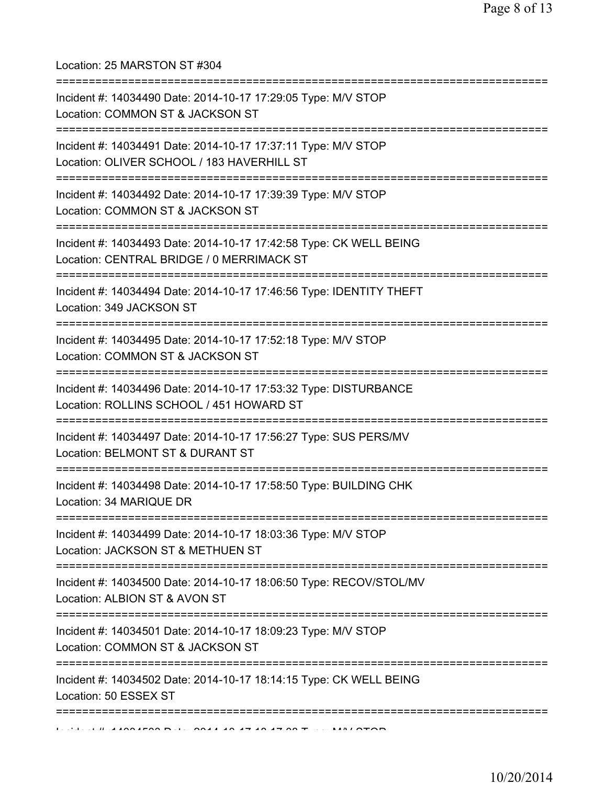Location: 25 MARSTON ST #304

| Incident #: 14034490 Date: 2014-10-17 17:29:05 Type: M/V STOP<br>Location: COMMON ST & JACKSON ST                                        |
|------------------------------------------------------------------------------------------------------------------------------------------|
| :========================<br>Incident #: 14034491 Date: 2014-10-17 17:37:11 Type: M/V STOP<br>Location: OLIVER SCHOOL / 183 HAVERHILL ST |
| Incident #: 14034492 Date: 2014-10-17 17:39:39 Type: M/V STOP<br>Location: COMMON ST & JACKSON ST                                        |
| Incident #: 14034493 Date: 2014-10-17 17:42:58 Type: CK WELL BEING<br>Location: CENTRAL BRIDGE / 0 MERRIMACK ST                          |
| Incident #: 14034494 Date: 2014-10-17 17:46:56 Type: IDENTITY THEFT<br>Location: 349 JACKSON ST                                          |
| Incident #: 14034495 Date: 2014-10-17 17:52:18 Type: M/V STOP<br>Location: COMMON ST & JACKSON ST                                        |
| Incident #: 14034496 Date: 2014-10-17 17:53:32 Type: DISTURBANCE<br>Location: ROLLINS SCHOOL / 451 HOWARD ST                             |
| Incident #: 14034497 Date: 2014-10-17 17:56:27 Type: SUS PERS/MV<br>Location: BELMONT ST & DURANT ST                                     |
| Incident #: 14034498 Date: 2014-10-17 17:58:50 Type: BUILDING CHK<br>Location: 34 MARIQUE DR                                             |
| Incident #: 14034499 Date: 2014-10-17 18:03:36 Type: M/V STOP<br>Location: JACKSON ST & METHUEN ST<br>.------------------------------    |
| Incident #: 14034500 Date: 2014-10-17 18:06:50 Type: RECOV/STOL/MV<br>Location: ALBION ST & AVON ST                                      |
| Incident #: 14034501 Date: 2014-10-17 18:09:23 Type: M/V STOP<br>Location: COMMON ST & JACKSON ST                                        |
| Incident #: 14034502 Date: 2014-10-17 18:14:15 Type: CK WELL BEING<br>Location: 50 ESSEX ST                                              |
|                                                                                                                                          |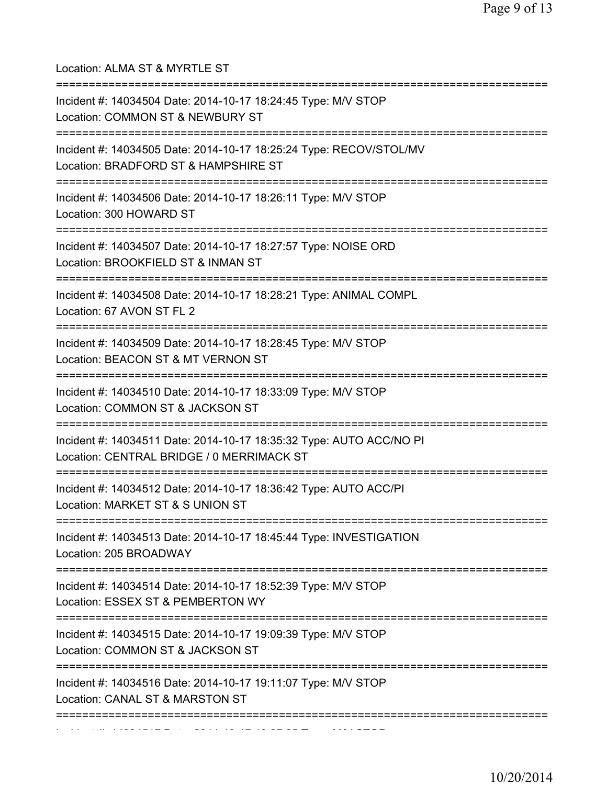Location: ALMA ST & MYRTLE ST =========================================================================== Incident #: 14034504 Date: 2014-10-17 18:24:45 Type: M/V STOP Location: COMMON ST & NEWBURY ST =========================================================================== Incident #: 14034505 Date: 2014-10-17 18:25:24 Type: RECOV/STOL/MV Location: BRADFORD ST & HAMPSHIRE ST =========================================================================== Incident #: 14034506 Date: 2014-10-17 18:26:11 Type: M/V STOP Location: 300 HOWARD ST =========================================================================== Incident #: 14034507 Date: 2014-10-17 18:27:57 Type: NOISE ORD Location: BROOKFIELD ST & INMAN ST =========================================================================== Incident #: 14034508 Date: 2014-10-17 18:28:21 Type: ANIMAL COMPL Location: 67 AVON ST FL 2 =========================================================================== Incident #: 14034509 Date: 2014-10-17 18:28:45 Type: M/V STOP Location: BEACON ST & MT VERNON ST =========================================================================== Incident #: 14034510 Date: 2014-10-17 18:33:09 Type: M/V STOP Location: COMMON ST & JACKSON ST =========================================================================== Incident #: 14034511 Date: 2014-10-17 18:35:32 Type: AUTO ACC/NO PI Location: CENTRAL BRIDGE / 0 MERRIMACK ST =========================================================================== Incident #: 14034512 Date: 2014-10-17 18:36:42 Type: AUTO ACC/PI Location: MARKET ST & S UNION ST =========================================================================== Incident #: 14034513 Date: 2014-10-17 18:45:44 Type: INVESTIGATION Location: 205 BROADWAY =========================================================================== Incident #: 14034514 Date: 2014-10-17 18:52:39 Type: M/V STOP Location: ESSEX ST & PEMBERTON WY =========================================================================== Incident #: 14034515 Date: 2014-10-17 19:09:39 Type: M/V STOP Location: COMMON ST & JACKSON ST =========================================================================== Incident #: 14034516 Date: 2014-10-17 19:11:07 Type: M/V STOP Location: CANAL ST & MARSTON ST =========================================================================== Incident #: 14034517 Date: 2014 10 17 19:27:25 Type: M/V STOP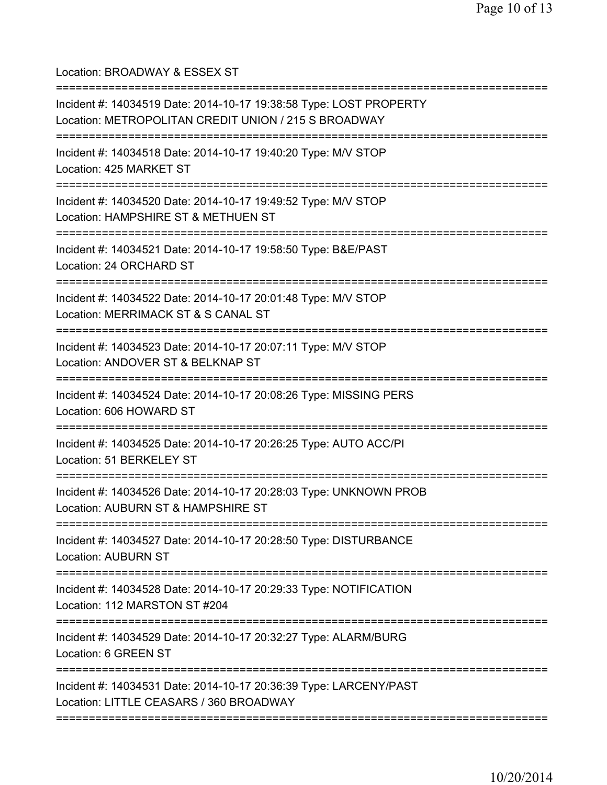Location: BROADWAY & ESSEX ST

| Incident #: 14034519 Date: 2014-10-17 19:38:58 Type: LOST PROPERTY<br>Location: METROPOLITAN CREDIT UNION / 215 S BROADWAY      |
|---------------------------------------------------------------------------------------------------------------------------------|
| Incident #: 14034518 Date: 2014-10-17 19:40:20 Type: M/V STOP<br>Location: 425 MARKET ST                                        |
| Incident #: 14034520 Date: 2014-10-17 19:49:52 Type: M/V STOP<br>Location: HAMPSHIRE ST & METHUEN ST                            |
| Incident #: 14034521 Date: 2014-10-17 19:58:50 Type: B&E/PAST<br>Location: 24 ORCHARD ST<br>----------------------------------- |
| Incident #: 14034522 Date: 2014-10-17 20:01:48 Type: M/V STOP<br>Location: MERRIMACK ST & S CANAL ST                            |
| Incident #: 14034523 Date: 2014-10-17 20:07:11 Type: M/V STOP<br>Location: ANDOVER ST & BELKNAP ST                              |
| Incident #: 14034524 Date: 2014-10-17 20:08:26 Type: MISSING PERS<br>Location: 606 HOWARD ST                                    |
| Incident #: 14034525 Date: 2014-10-17 20:26:25 Type: AUTO ACC/PI<br>Location: 51 BERKELEY ST                                    |
| Incident #: 14034526 Date: 2014-10-17 20:28:03 Type: UNKNOWN PROB<br>Location: AUBURN ST & HAMPSHIRE ST                         |
| Incident #: 14034527 Date: 2014-10-17 20:28:50 Type: DISTURBANCE<br><b>Location: AUBURN ST</b>                                  |
| Incident #: 14034528 Date: 2014-10-17 20:29:33 Type: NOTIFICATION<br>Location: 112 MARSTON ST #204                              |
| Incident #: 14034529 Date: 2014-10-17 20:32:27 Type: ALARM/BURG<br>Location: 6 GREEN ST                                         |
| Incident #: 14034531 Date: 2014-10-17 20:36:39 Type: LARCENY/PAST<br>Location: LITTLE CEASARS / 360 BROADWAY                    |
|                                                                                                                                 |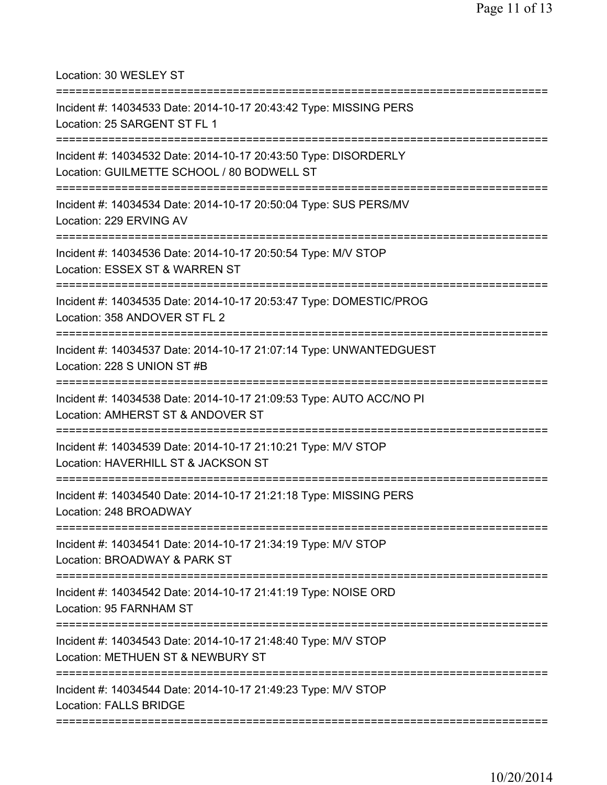Location: 30 WESLEY ST =========================================================================== Incident #: 14034533 Date: 2014-10-17 20:43:42 Type: MISSING PERS Location: 25 SARGENT ST FL 1 =========================================================================== Incident #: 14034532 Date: 2014-10-17 20:43:50 Type: DISORDERLY Location: GUILMETTE SCHOOL / 80 BODWELL ST =========================================================================== Incident #: 14034534 Date: 2014-10-17 20:50:04 Type: SUS PERS/MV Location: 229 ERVING AV =========================================================================== Incident #: 14034536 Date: 2014-10-17 20:50:54 Type: M/V STOP Location: ESSEX ST & WARREN ST =========================================================================== Incident #: 14034535 Date: 2014-10-17 20:53:47 Type: DOMESTIC/PROG Location: 358 ANDOVER ST FL 2 =========================================================================== Incident #: 14034537 Date: 2014-10-17 21:07:14 Type: UNWANTEDGUEST Location: 228 S UNION ST #B =========================================================================== Incident #: 14034538 Date: 2014-10-17 21:09:53 Type: AUTO ACC/NO PI Location: AMHERST ST & ANDOVER ST =========================================================================== Incident #: 14034539 Date: 2014-10-17 21:10:21 Type: M/V STOP Location: HAVERHILL ST & JACKSON ST =========================================================================== Incident #: 14034540 Date: 2014-10-17 21:21:18 Type: MISSING PERS Location: 248 BROADWAY =========================================================================== Incident #: 14034541 Date: 2014-10-17 21:34:19 Type: M/V STOP Location: BROADWAY & PARK ST =========================================================================== Incident #: 14034542 Date: 2014-10-17 21:41:19 Type: NOISE ORD Location: 95 FARNHAM ST =========================================================================== Incident #: 14034543 Date: 2014-10-17 21:48:40 Type: M/V STOP Location: METHUEN ST & NEWBURY ST =========================================================================== Incident #: 14034544 Date: 2014-10-17 21:49:23 Type: M/V STOP Location: FALLS BRIDGE ===========================================================================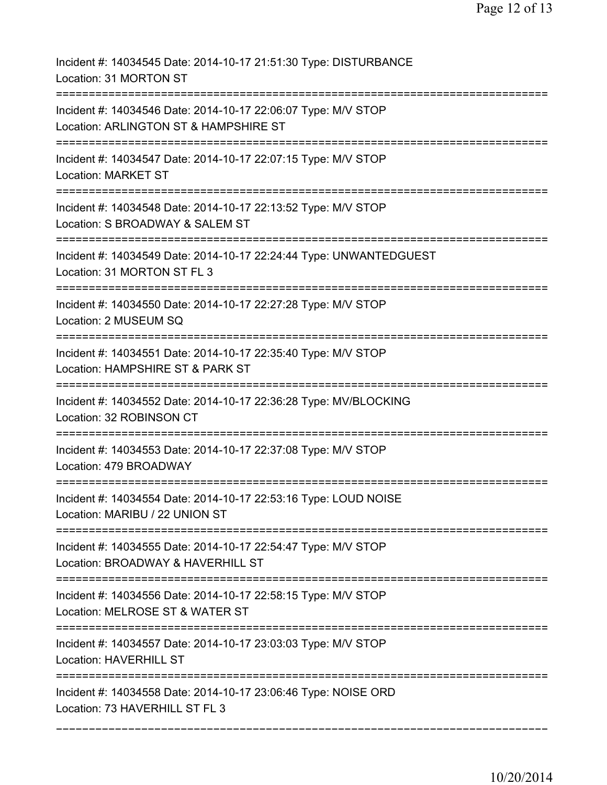| Incident #: 14034545 Date: 2014-10-17 21:51:30 Type: DISTURBANCE<br>Location: 31 MORTON ST                                            |
|---------------------------------------------------------------------------------------------------------------------------------------|
| Incident #: 14034546 Date: 2014-10-17 22:06:07 Type: M/V STOP<br>Location: ARLINGTON ST & HAMPSHIRE ST                                |
| Incident #: 14034547 Date: 2014-10-17 22:07:15 Type: M/V STOP<br><b>Location: MARKET ST</b>                                           |
| Incident #: 14034548 Date: 2014-10-17 22:13:52 Type: M/V STOP<br>Location: S BROADWAY & SALEM ST                                      |
| Incident #: 14034549 Date: 2014-10-17 22:24:44 Type: UNWANTEDGUEST<br>Location: 31 MORTON ST FL 3                                     |
| Incident #: 14034550 Date: 2014-10-17 22:27:28 Type: M/V STOP<br>Location: 2 MUSEUM SQ                                                |
| Incident #: 14034551 Date: 2014-10-17 22:35:40 Type: M/V STOP<br>Location: HAMPSHIRE ST & PARK ST                                     |
| Incident #: 14034552 Date: 2014-10-17 22:36:28 Type: MV/BLOCKING<br>Location: 32 ROBINSON CT<br>===================================== |
| Incident #: 14034553 Date: 2014-10-17 22:37:08 Type: M/V STOP<br>Location: 479 BROADWAY                                               |
| Incident #: 14034554 Date: 2014-10-17 22:53:16 Type: LOUD NOISE<br>Location: MARIBU / 22 UNION ST                                     |
| Incident #: 14034555 Date: 2014-10-17 22:54:47 Type: M/V STOP<br>Location: BROADWAY & HAVERHILL ST                                    |
| Incident #: 14034556 Date: 2014-10-17 22:58:15 Type: M/V STOP<br>Location: MELROSE ST & WATER ST                                      |
| Incident #: 14034557 Date: 2014-10-17 23:03:03 Type: M/V STOP<br>Location: HAVERHILL ST                                               |
| Incident #: 14034558 Date: 2014-10-17 23:06:46 Type: NOISE ORD<br>Location: 73 HAVERHILL ST FL 3                                      |
|                                                                                                                                       |

===========================================================================